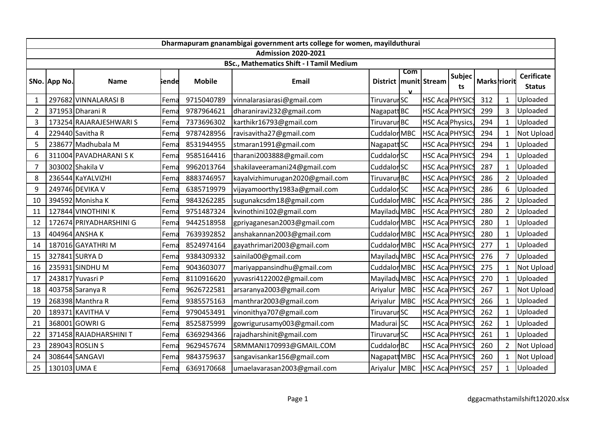| Dharmapuram gnanambigai government arts college for women, mayilduthurai |              |                         |       |               |                                 |                         |     |                        |              |              |                |                                    |
|--------------------------------------------------------------------------|--------------|-------------------------|-------|---------------|---------------------------------|-------------------------|-----|------------------------|--------------|--------------|----------------|------------------------------------|
| <b>Admission 2020-2021</b>                                               |              |                         |       |               |                                 |                         |     |                        |              |              |                |                                    |
| <b>BSc., Mathematics Shift - I Tamil Medium</b>                          |              |                         |       |               |                                 |                         |     |                        |              |              |                |                                    |
|                                                                          | SNo. App No. | <b>Name</b>             | iende | <b>Mobile</b> | <b>Email</b>                    | District                | Com | munit Stream           | Subjec<br>ts | Marks riorit |                | <b>Cerificate</b><br><b>Status</b> |
| 1                                                                        |              | 297682 VINNALARASI B    | Fema  | 9715040789    | vinnalarasiarasi@gmail.com      | Tiruvarur SC            |     | HSC Aca PHYSICS        |              | 312          | $\mathbf{1}$   | Uploaded                           |
| $\overline{2}$                                                           |              | 371953 Dharani R        | Fema  | 9787964621    | dharaniravi232@gmail.com        | Nagapatt BC             |     | HSC Aca PHYSICS        |              | 299          | 3              | Uploaded                           |
| 3                                                                        |              | 173254 RAJARAJESHWARI S | Fema  | 7373696302    | karthikr16793@gmail.com         | Tiruvarur <sub>BC</sub> |     | HSC Aca Physics,       |              | 294          | $\mathbf{1}$   | Uploaded                           |
| 4                                                                        |              | 229440 Savitha R        | Fema  | 9787428956    | ravisavitha27@gmail.com         | <b>Cuddalor MBC</b>     |     | HSC Aca PHYSIC         |              | 294          | $\mathbf{1}$   | Not Upload                         |
| 5                                                                        |              | 238677 Madhubala M      | Fema  | 8531944955    | stmaran1991@gmail.com           | Nagapatt <sub>SC</sub>  |     | <b>HSC Aca PHYSICS</b> |              | 294          | $\mathbf{1}$   | Uploaded                           |
| 6                                                                        |              | 311004 PAVADHARANI SK   | Fema  | 9585164416    | tharani2003888@gmail.com        | Cuddalor <sub>SC</sub>  |     | HSC Aca PHYSICS        |              | 294          | $\mathbf{1}$   | Uploaded                           |
| $\overline{7}$                                                           |              | 303002 Shakila V        | Fema  | 9962013764    | shakilaveeramani24@gmail.com    | Cuddalor <sub>SC</sub>  |     | HSC Aca PHYSICS        |              | 287          | $\mathbf{1}$   | Uploaded                           |
| 8                                                                        |              | 236544 KaYALVIZHI       | Fema  | 8883746957    | kayalvizhimurugan2020@gmail.com | Tiruvarur <sub>BC</sub> |     | HSC Aca PHYSIC         |              | 286          | $\overline{2}$ | Uploaded                           |
| 9                                                                        |              | 249746 DEVIKA V         | Fema  | 6385719979    | vijayamoorthy1983a@gmail.com    | Cuddalor SC             |     | <b>HSC Aca PHYSICS</b> |              | 286          | 6              | Uploaded                           |
| 10                                                                       |              | 394592 Monisha K        | Fema  | 9843262285    | sugunakcsdm18@gmail.com         | Cuddalor MBC            |     | <b>HSC Aca PHYSICS</b> |              | 286          | $\overline{2}$ | Uploaded                           |
| 11                                                                       |              | 127844 VINOTHINI K      | Fema  | 9751487324    | kvinothini102@gmail.com         | Mayiladu MBC            |     | <b>HSC Aca PHYSICS</b> |              | 280          | $\overline{2}$ | Uploaded                           |
| 12                                                                       |              | 172674 PRIYADHARSHINI G | Fema  | 9442518958    | gpriyaganesan2003@gmail.com     | Cuddalor MBC            |     | <b>HSC Aca PHYSICS</b> |              | 280          | -1             | Uploaded                           |
| 13                                                                       |              | 404964 ANSHAK           | Fema  | 7639392852    | anshakannan2003@gmail.com       | Cuddalor MBC            |     | HSC Aca PHYSICS        |              | 280          | $\mathbf{1}$   | Uploaded                           |
| 14                                                                       |              | 187016 GAYATHRI M       | Fema  | 8524974164    | gayathrimari2003@gmail.com      | Cuddalor MBC            |     | <b>HSC Aca PHYSICS</b> |              | 277          | $\mathbf{1}$   | Uploaded                           |
| 15                                                                       |              | 327841 SURYA D          | Fema  | 9384309332    | sainila00@gmail.com             | Mayiladu MBC            |     | <b>HSC Aca PHYSICS</b> |              | 276          | $\overline{7}$ | Uploaded                           |
| 16                                                                       |              | 235931 SINDHU M         | Fema  | 9043603077    | mariyappansindhu@gmail.com      | Cuddalor MBC            |     | <b>HSC Aca PHYSICS</b> |              | 275          | $\mathbf 1$    | Not Upload                         |
| 17                                                                       |              | 243817 Yuvasri P        | Fema  | 8110916620    | yuvasri4122002@gmail.com        | Mayiladu MBC            |     | <b>HSC Aca PHYSICS</b> |              | 270          | $\mathbf{1}$   | Uploaded                           |
| 18                                                                       |              | 403758 Saranya R        | Fema  | 9626722581    | arsaranya2003@gmail.com         | Ariyalur MBC            |     | <b>HSC Aca PHYSICS</b> |              | 267          | $\mathbf{1}$   | Not Upload                         |
| 19                                                                       |              | 268398 Manthra R        | Fema  | 9385575163    | manthrar2003@gmail.com          | Ariyalur MBC            |     | <b>HSC Aca PHYSICS</b> |              | 266          | $\mathbf{1}$   | Uploaded                           |
| 20                                                                       |              | 189371 KAVITHA V        | Fema  | 9790453491    | vinonithya707@gmail.com         | Tiruvarur SC            |     | <b>HSC Aca PHYSICS</b> |              | 262          | $\mathbf{1}$   | Uploaded                           |
| 21                                                                       |              | 368001 GOWRI G          | Fema  | 8525875999    | gowrigurusamy003@gmail.com      | Madurai SC              |     | HSC Aca PHYSICS        |              | 262          | $\mathbf{1}$   | Uploaded                           |
| 22                                                                       |              | 371458 RAJADHARSHINI T  | Fema  | 6369294366    | rajadharshinit@gmail.com        | Tiruvarur SC            |     | <b>HSC Aca PHYSICS</b> |              | 261          | $\mathbf{1}$   | Uploaded                           |
| 23                                                                       |              | 289043 ROSLIN S         | Fema  | 9629457674    | SRMMANI170993@GMAIL.COM         | Cuddalor <sub>BC</sub>  |     | HSC Aca PHYSICS        |              | 260          | $\overline{2}$ | Not Upload                         |
| 24                                                                       |              | 308644 SANGAVI          | Fema  | 9843759637    | sangavisankar156@gmail.com      | Nagapatt MBC            |     | <b>HSC Aca PHYSICS</b> |              | 260          | $\mathbf{1}$   | Not Upload                         |
| 25                                                                       | 130103 UMA E |                         | Fema  | 6369170668    | umaelavarasan2003@gmail.com     | Ariyalur MBC            |     | HSC Aca PHYSICS        |              | 257          | $\mathbf{1}$   | Uploaded                           |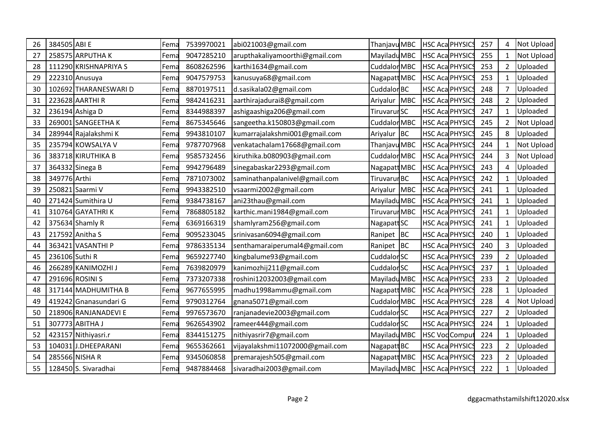| 26 | 384505 ABI E |                       | Fema | 7539970021 | abi021003@gmail.com             | Thanjavu MBC            |                        | HSC Aca PHYSICS        | 257 | 4              | Not Upload |
|----|--------------|-----------------------|------|------------|---------------------------------|-------------------------|------------------------|------------------------|-----|----------------|------------|
| 27 |              | 258575 ARPUTHA K      | Fema | 9047285210 | arupthakaliyamoorthi@gmail.com  | Mayiladu MBC            |                        | <b>HSC Aca PHYSICS</b> | 255 | $\mathbf{1}$   | Not Upload |
| 28 |              | 111290 KRISHNAPRIYA S | Fema | 8608262596 | karthi1634@gmail.com            | <b>Cuddalor MBC</b>     | HSC Aca PHYSICS        |                        | 253 | $\overline{2}$ | Uploaded   |
| 29 |              | 222310 Anusuya        | Fema | 9047579753 | kanusuya68@gmail.com            | Nagapatt MBC            | HSC Aca PHYSICS        |                        | 253 | $\mathbf{1}$   | Uploaded   |
| 30 |              | 102692 THARANESWARI D | Fema | 8870197511 | d.sasikala02@gmail.com          | Cuddalor <sub>BC</sub>  | HSC Aca PHYSIC         |                        | 248 | $\overline{7}$ | Uploaded   |
| 31 |              | 223628 AARTHIR        | Fema | 9842416231 | aarthirajadurai8@gmail.com      | Ariyalur MBC            | <b>HSC Aca PHYSICS</b> |                        | 248 | $\overline{2}$ | Uploaded   |
| 32 |              | 236194 Ashiga D       | Fema | 8344988397 | ashigaashiga206@gmail.com       | Tiruvarur SC            | <b>HSC Aca PHYSIC</b>  |                        | 247 | $\mathbf{1}$   | Uploaded   |
| 33 |              | 269001 SANGEETHA K    | Fema | 8675345646 | sangeetha.k150803@gmail.com     | Cuddalor MBC            |                        | <b>HSC Aca PHYSICS</b> | 245 | $\overline{2}$ | Not Upload |
| 34 |              | 289944 Rajalakshmi K  | Fema | 9943810107 | kumarrajalakshmi001@gmail.com   | Ariyalur BC             |                        | <b>HSC Aca PHYSICS</b> | 245 | 8              | Uploaded   |
| 35 |              | 235794 KOWSALYA V     | Fema | 9787707968 | venkatachalam17668@gmail.com    | Thanjavu MBC            |                        | <b>HSC Aca PHYSICS</b> | 244 | $\mathbf{1}$   | Not Upload |
| 36 |              | 383718 KIRUTHIKA B    | Fema | 9585732456 | kiruthika.b080903@gmail.com     | <b>Cuddalor MBC</b>     | HSC Aca PHYSIC         |                        | 244 | 3              | Not Upload |
| 37 |              | 364332 Sinega B       | Fema | 9942796489 | sinegabaskar2293@gmail.com      | Nagapatt MBC            |                        | <b>HSC Aca PHYSICS</b> | 243 | 4              | Uploaded   |
| 38 | 349776 Arthi |                       | Fema | 7871073002 | saminathanpalanivel@gmail.com   | Tiruvarur <sup>BC</sup> |                        | <b>HSC Aca PHYSICS</b> | 242 | 1              | Uploaded   |
| 39 |              | 250821 Saarmi V       | Fema | 9943382510 | vsaarmi2002@gmail.com           | Ariyalur MBC            |                        | <b>HSC Aca PHYSICS</b> | 241 | $\mathbf{1}$   | Uploaded   |
| 40 |              | 271424 Sumithira U    | Fema | 9384738167 | ani23thau@gmail.com             | Mayiladu MBC            |                        | <b>HSC Aca PHYSICS</b> | 241 | $\mathbf{1}$   | Uploaded   |
| 41 |              | 310764 GAYATHRIK      | Fema | 7868805182 | karthic.mani1984@gmail.com      | Tiruvarur MBC           |                        | <b>HSC Aca PHYSICS</b> | 241 | $\mathbf{1}$   | Uploaded   |
| 42 |              | 375634 Shamly R       | Fema | 6369166319 | shamlyram256@gmail.com          | Nagapatt <sub>SC</sub>  |                        | <b>HSC Aca PHYSICS</b> | 241 | $\mathbf{1}$   | Uploaded   |
| 43 |              | 217592 Anitha S       | Fema | 9095233045 | srinivasan6094@gmail.com        | Ranipet BC              |                        | <b>HSC Aca PHYSICS</b> | 240 | $\mathbf{1}$   | Uploaded   |
| 44 |              | 363421 VASANTHI P     | Fema | 9786335134 | senthamaraiperumal4@gmail.com   | Ranipet BC              | <b>HSC Aca PHYSIC</b>  |                        | 240 | 3              | Uploaded   |
| 45 |              | 236106 Suthi R        | Fema | 9659227740 | kingbalume93@gmail.com          | Cuddalor SC             |                        | HSC Aca PHYSICS        | 239 | $\overline{2}$ | Uploaded   |
| 46 |              | 266289 KANIMOZHI J    | Fema | 7639820979 | kanimozhij211@gmail.com         | Cuddalor SC             |                        | HSC Aca PHYSICS        | 237 | $\mathbf{1}$   | Uploaded   |
| 47 |              | 291696 ROSINI S       | Fema | 7373207338 | roshini12032003@gmail.com       | Mayiladu MBC            | HSC Aca PHYSICS        |                        | 233 | $\overline{2}$ | Uploaded   |
| 48 |              | 317144 MADHUMITHA B   | Fema | 9677655995 | madhu1998ammu@gmail.com         | Nagapatt MBC            | <b>HSC Aca PHYSIC</b>  |                        | 228 | $\mathbf{1}$   | Uploaded   |
| 49 |              | 419242 Gnanasundari G | Fema | 9790312764 | gnana5071@gmail.com             | Cuddalor MBC            | <b>HSC Aca PHYSIC</b>  |                        | 228 | 4              | Not Upload |
| 50 |              | 218906 RANJANADEVI E  | Fema | 9976573670 | ranjanadevie2003@gmail.com      | Cuddalor SC             |                        | HSC Aca PHYSIC         | 227 | $\overline{2}$ | Uploaded   |
| 51 |              | 307773 ABITHA J       | Fema | 9626543902 | rameer444@gmail.com             | Cuddalor SC             |                        | <b>HSC Aca PHYSICS</b> | 224 | $\mathbf{1}$   | Uploaded   |
| 52 |              | 423157 Nithiyasri.r   | Fema | 8344151275 | nithiyasrir7@gmail.com          | Mayiladu MBC            |                        | <b>HSC VodComput</b>   | 224 | $\mathbf{1}$   | Uploaded   |
| 53 |              | 104031J.DHEEPARANI    | Fema | 9655362661 | vijayalakshmi11072000@gmail.com | Nagapatt BC             | HSC Aca PHYSICS        |                        | 223 | $\overline{2}$ | Uploaded   |
| 54 |              | 285566 NISHA R        | Fema | 9345060858 | premarajesh505@gmail.com        | Nagapatt MBC            |                        | <b>HSC Aca PHYSICS</b> | 223 | $\overline{2}$ | Uploaded   |
| 55 |              | 128450 S. Sivaradhai  | Fema | 9487884468 | sivaradhai2003@gmail.com        | Mayiladu MBC            |                        | <b>HSC Aca PHYSICS</b> | 222 | $\mathbf{1}$   | Uploaded   |
|    |              |                       |      |            |                                 |                         |                        |                        |     |                |            |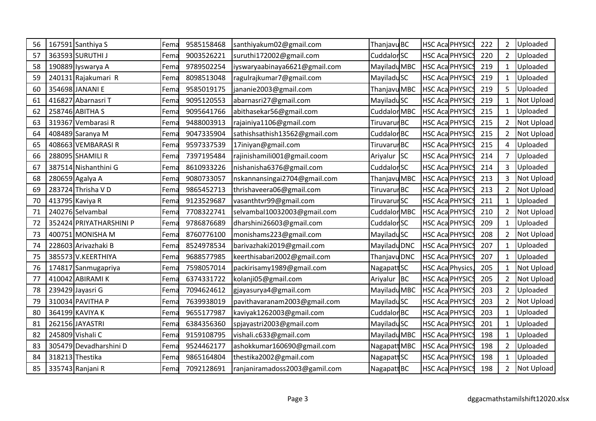| 56 | 167591 Santhiya S       | Fema | 9585158468 | santhiyakum02@gmail.com        | Thanjavu BC            |           |                        | <b>HSC Aca PHYSICS</b> | 222 | $\overline{2}$ | Uploaded   |
|----|-------------------------|------|------------|--------------------------------|------------------------|-----------|------------------------|------------------------|-----|----------------|------------|
| 57 | 363593 SURUTHI J        | Fema | 9003526221 | suruthi172002@gmail.com        | Cuddalor SC            |           |                        | HSC Aca PHYSICS        | 220 | $\overline{2}$ | Uploaded   |
| 58 | 190889 Iyswarya A       | Fema | 9789502254 | liyswaryaabinaya6621@gmail.com | Mayiladu MBC           |           | HSC Aca PHYSICS        |                        | 219 | $\mathbf{1}$   | Uploaded   |
| 59 | 240131 Rajakumari R     | Fema | 8098513048 | ragulrajkumar7@gmail.com       | MayiladuSC             |           |                        | <b>HSC Aca PHYSICS</b> | 219 | $\mathbf{1}$   | Uploaded   |
| 60 | 354698 JANANI E         | Fema | 9585019175 | jananie2003@gmail.com          | Thanjavu MBC           |           | HSC Aca PHYSIC         |                        | 219 | 5              | Uploaded   |
| 61 | 416827 Abarnasri T      | Fema | 9095120553 | abarnasri27@gmail.com          | MayiladuSC             |           |                        | <b>HSC Aca PHYSICS</b> | 219 | $\mathbf{1}$   | Not Upload |
| 62 | 258746 ABITHA S         | Fema | 9095641766 | abithasekar56@gmail.com        | Cuddalor MBC           |           | <b>HSC Aca PHYSIC</b>  |                        | 215 | $\mathbf{1}$   | Uploaded   |
| 63 | 319367 Vembarasi R      | Fema | 9488003913 | rajainiya1106@gmail.com        | Tiruvarur BC           |           |                        | <b>HSC Aca PHYSICS</b> | 215 | $\overline{2}$ | Not Upload |
| 64 | 408489 Saranya M        | Fema | 9047335904 | sathishsathish13562@gmail.com  | Cuddalor <sub>BC</sub> |           |                        | HSC Aca PHYSICS        | 215 | 2              | Not Upload |
| 65 | 408663 VEMBARASIR       | Fema | 9597337539 | 17iniyan@gmail.com             | Tiruvarur BC           |           |                        | <b>HSC Aca PHYSICS</b> | 215 | $\overline{4}$ | Uploaded   |
| 66 | 288095 SHAMILI R        | Fema | 7397195484 | rajinishamili001@gmail.coom    | Ariyalur               | <b>SC</b> |                        | <b>HSC Aca PHYSICS</b> | 214 | 7              | Uploaded   |
| 67 | 387514 Nishanthini G    | Fema | 8610933226 | nishanisha6376@gmail.com       | Cuddalor SC            |           |                        | <b>HSC Aca PHYSICS</b> | 214 | 3              | Uploaded   |
| 68 | 280659 Agalya A         | Fema | 9080733057 | nskannansingai2704@gmail.com   | Thanjavu MBC           |           |                        | <b>HSC Aca PHYSICS</b> | 213 | 3              | Not Upload |
| 69 | 283724 Thrisha V D      | Fema | 9865452713 | thrishaveera06@gmail.com       | Tiruvarur BC           |           |                        | <b>HSC Aca PHYSICS</b> | 213 | $\overline{2}$ | Not Upload |
| 70 | 413795 Kaviya R         | Fema | 9123529687 | vasanthtvr99@gmail.com         | Tiruvarur SC           |           |                        | <b>HSC Aca PHYSICS</b> | 211 | $\mathbf{1}$   | Uploaded   |
| 71 | 240276 Selvambal        | Fema | 7708322741 | selvambal10032003@gmail.com    | Cuddalor MBC           |           |                        | <b>HSC Aca PHYSICS</b> | 210 | $\overline{2}$ | Not Upload |
| 72 | 352424 PRIYATHARSHINI P | Fema | 9786876689 | dharshini26603@gmail.com       | Cuddalor SC            |           |                        | <b>HSC Aca PHYSICS</b> | 209 | $\mathbf{1}$   | Uploaded   |
| 73 | 400751 MONISHA M        | Fema | 8760776100 | monishams223@gmail.com         | MayiladuSC             |           |                        | <b>HSC Aca PHYSICS</b> | 208 | $\overline{2}$ | Not Upload |
| 74 | 228603 Arivazhaki B     | Fema | 8524978534 | barivazhaki2019@gmail.com      | Mayiladu DNC           |           | HSC Aca PHYSIC         |                        | 207 | 1              | Uploaded   |
| 75 | 385573 V.KEERTHIYA      | Fema | 9688577985 | keerthisabari2002@gmail.com    | Thanjavu DNC           |           |                        | <b>HSC Aca PHYSICS</b> | 207 | $\mathbf{1}$   | Uploaded   |
| 76 | 174817 Sanmugapriya     | Fema | 7598057014 | packirisamy1989@gmail.com      | Nagapatt SC            |           |                        | HSC Aca Physics,       | 205 | $\mathbf{1}$   | Not Upload |
| 77 | 410042 ABIRAMI K        | Fema | 6374331722 | kolanji05@gmail.com            | Ariyalur BC            |           |                        | <b>HSC Aca PHYSICS</b> | 205 | $\overline{2}$ | Not Upload |
| 78 | 239429 Jayasri G        | Fema | 7094624612 | gjayasurya4@gmail.com          | Mayiladu MBC           |           | <b>HSC Aca PHYSIC</b>  |                        | 203 | $\overline{2}$ | Uploaded   |
| 79 | 310034 PAVITHA P        | Fema | 7639938019 | pavithavaranam2003@gmail.com   | MayiladuSC             |           | HSC Aca PHYSIC         |                        | 203 | $\overline{2}$ | Not Upload |
| 80 | 364199 KAVIYA K         | Fema | 9655177987 | kaviyak1262003@gmail.com       | Cuddalor BC            |           |                        | HSC Aca PHYSIC         | 203 | $\mathbf{1}$   | Uploaded   |
| 81 | 262156 JAYASTRI         | Fema | 6384356360 | spjayastri2003@gmail.com       | <b>MayiladuSC</b>      |           |                        | <b>HSC Aca PHYSICS</b> | 201 | $\mathbf{1}$   | Uploaded   |
| 82 | 245809 Vishali C        | Fema | 9159108795 | vishali.c633@gmail.com         | Mayiladu MBC           |           | <b>HSC Aca PHYSICS</b> |                        | 198 | $\mathbf{1}$   | Uploaded   |
| 83 | 305479 Devadharshini D  | Fema | 9524462177 | ashokkumar160690@gmail.com     | Nagapatt MBC           |           | HSC Aca PHYSICS        |                        | 198 | $\overline{2}$ | Uploaded   |
| 84 | 318213 Thestika         | Fema | 9865164804 | thestika2002@gmail.com         | Nagapatt SC            |           |                        | <b>HSC Aca PHYSICS</b> | 198 | $\mathbf{1}$   | Uploaded   |
| 85 | 335743 Ranjani R        | Fema | 7092128691 | ranjaniramadoss2003@gamil.com  | Nagapatt BC            |           |                        | <b>HSC Aca PHYSICS</b> | 198 | $\overline{2}$ | Not Upload |
|    |                         |      |            |                                |                        |           |                        |                        |     |                |            |